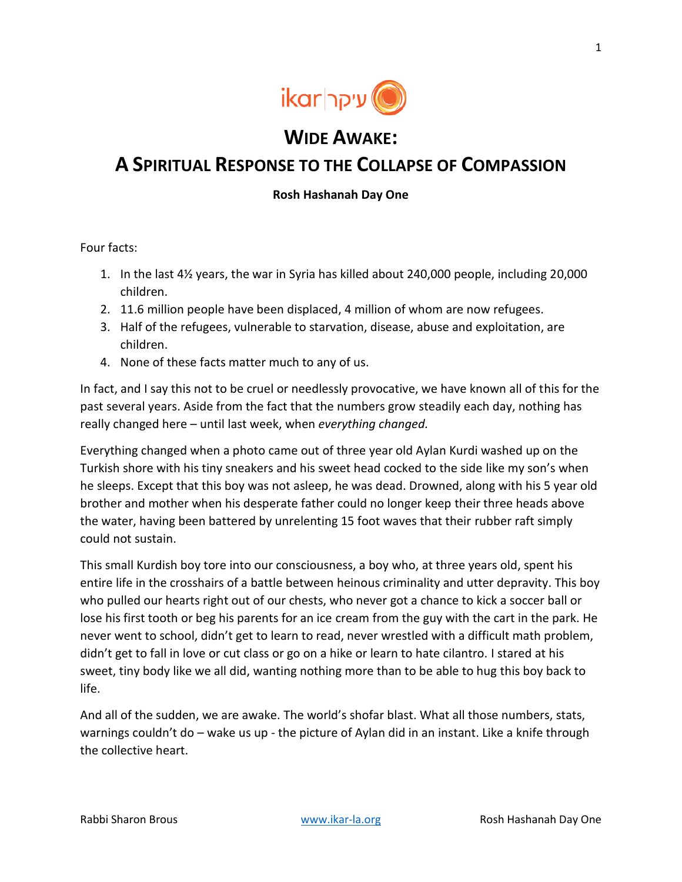

## **WIDE AWAKE:**

## **A SPIRITUAL RESPONSE TO THE COLLAPSE OF COMPASSION**

## **Rosh Hashanah Day One**

Four facts:

- 1. In the last 4½ years, the war in Syria has killed about 240,000 people, including 20,000 children.
- 2. 11.6 million people have been displaced, 4 million of whom are now refugees.
- 3. Half of the refugees, vulnerable to starvation, disease, abuse and exploitation, are children.
- 4. None of these facts matter much to any of us.

In fact, and I say this not to be cruel or needlessly provocative, we have known all of this for the past several years. Aside from the fact that the numbers grow steadily each day, nothing has really changed here – until last week, when *everything changed.*

Everything changed when a photo came out of three year old Aylan Kurdi washed up on the Turkish shore with his tiny sneakers and his sweet head cocked to the side like my son's when he sleeps. Except that this boy was not asleep, he was dead. Drowned, along with his 5 year old brother and mother when his desperate father could no longer keep their three heads above the water, having been battered by unrelenting 15 foot waves that their rubber raft simply could not sustain.

This small Kurdish boy tore into our consciousness, a boy who, at three years old, spent his entire life in the crosshairs of a battle between heinous criminality and utter depravity. This boy who pulled our hearts right out of our chests, who never got a chance to kick a soccer ball or lose his first tooth or beg his parents for an ice cream from the guy with the cart in the park. He never went to school, didn't get to learn to read, never wrestled with a difficult math problem, didn't get to fall in love or cut class or go on a hike or learn to hate cilantro. I stared at his sweet, tiny body like we all did, wanting nothing more than to be able to hug this boy back to life.

And all of the sudden, we are awake. The world's shofar blast. What all those numbers, stats, warnings couldn't do – wake us up - the picture of Aylan did in an instant. Like a knife through the collective heart.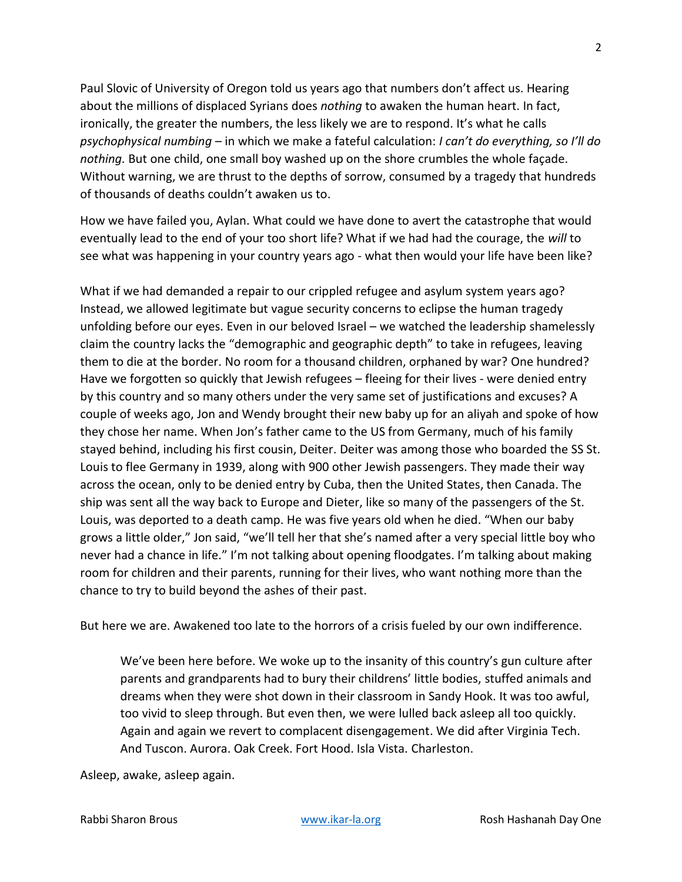Paul Slovic of University of Oregon told us years ago that numbers don't affect us. Hearing about the millions of displaced Syrians does *nothing* to awaken the human heart. In fact, ironically, the greater the numbers, the less likely we are to respond. It's what he calls *psychophysical numbing* – in which we make a fateful calculation: *I can't do everything, so I'll do nothing.* But one child, one small boy washed up on the shore crumbles the whole façade. Without warning, we are thrust to the depths of sorrow, consumed by a tragedy that hundreds of thousands of deaths couldn't awaken us to.

How we have failed you, Aylan. What could we have done to avert the catastrophe that would eventually lead to the end of your too short life? What if we had had the courage, the *will* to see what was happening in your country years ago - what then would your life have been like?

What if we had demanded a repair to our crippled refugee and asylum system years ago? Instead, we allowed legitimate but vague security concerns to eclipse the human tragedy unfolding before our eyes. Even in our beloved Israel – we watched the leadership shamelessly claim the country lacks the "demographic and geographic depth" to take in refugees, leaving them to die at the border. No room for a thousand children, orphaned by war? One hundred? Have we forgotten so quickly that Jewish refugees – fleeing for their lives - were denied entry by this country and so many others under the very same set of justifications and excuses? A couple of weeks ago, Jon and Wendy brought their new baby up for an aliyah and spoke of how they chose her name. When Jon's father came to the US from Germany, much of his family stayed behind, including his first cousin, Deiter. Deiter was among those who boarded the SS St. Louis to flee Germany in 1939, along with 900 other Jewish passengers. They made their way across the ocean, only to be denied entry by Cuba, then the United States, then Canada. The ship was sent all the way back to Europe and Dieter, like so many of the passengers of the St. Louis, was deported to a death camp. He was five years old when he died. "When our baby grows a little older," Jon said, "we'll tell her that she's named after a very special little boy who never had a chance in life." I'm not talking about opening floodgates. I'm talking about making room for children and their parents, running for their lives, who want nothing more than the chance to try to build beyond the ashes of their past.

But here we are. Awakened too late to the horrors of a crisis fueled by our own indifference.

We've been here before. We woke up to the insanity of this country's gun culture after parents and grandparents had to bury their childrens' little bodies, stuffed animals and dreams when they were shot down in their classroom in Sandy Hook. It was too awful, too vivid to sleep through. But even then, we were lulled back asleep all too quickly. Again and again we revert to complacent disengagement. We did after Virginia Tech. And Tuscon. Aurora. Oak Creek. Fort Hood. Isla Vista. Charleston.

Asleep, awake, asleep again.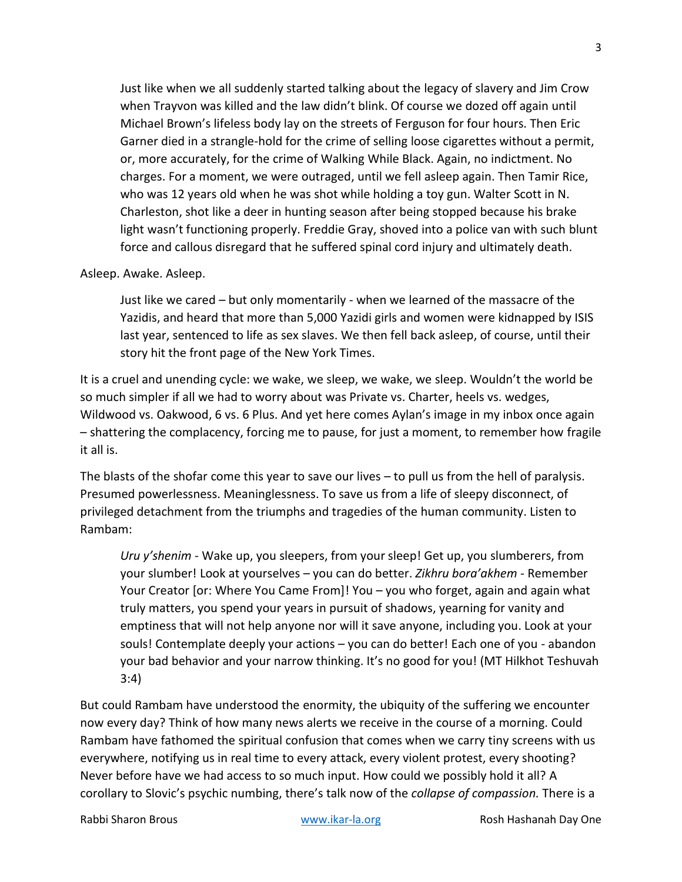Just like when we all suddenly started talking about the legacy of slavery and Jim Crow when Trayvon was killed and the law didn't blink. Of course we dozed off again until Michael Brown's lifeless body lay on the streets of Ferguson for four hours. Then Eric Garner died in a strangle-hold for the crime of selling loose cigarettes without a permit, or, more accurately, for the crime of Walking While Black. Again, no indictment. No charges. For a moment, we were outraged, until we fell asleep again. Then Tamir Rice, who was 12 years old when he was shot while holding a toy gun. Walter Scott in N. Charleston, shot like a deer in hunting season after being stopped because his brake light wasn't functioning properly. Freddie Gray, shoved into a police van with such blunt force and callous disregard that he suffered spinal cord injury and ultimately death.

## Asleep. Awake. Asleep.

Just like we cared – but only momentarily - when we learned of the massacre of the Yazidis, and heard that more than 5,000 Yazidi girls and women were kidnapped by ISIS last year, sentenced to life as sex slaves. We then fell back asleep, of course, until their story hit the front page of the New York Times.

It is a cruel and unending cycle: we wake, we sleep, we wake, we sleep. Wouldn't the world be so much simpler if all we had to worry about was Private vs. Charter, heels vs. wedges, Wildwood vs. Oakwood, 6 vs. 6 Plus. And yet here comes Aylan's image in my inbox once again – shattering the complacency, forcing me to pause, for just a moment, to remember how fragile it all is.

The blasts of the shofar come this year to save our lives – to pull us from the hell of paralysis. Presumed powerlessness. Meaninglessness. To save us from a life of sleepy disconnect, of privileged detachment from the triumphs and tragedies of the human community. Listen to Rambam:

*Uru y'shenim* - Wake up, you sleepers, from your sleep! Get up, you slumberers, from your slumber! Look at yourselves – you can do better. *Zikhru bora'akhem -* Remember Your Creator [or: Where You Came From]! You – you who forget, again and again what truly matters, you spend your years in pursuit of shadows, yearning for vanity and emptiness that will not help anyone nor will it save anyone, including you. Look at your souls! Contemplate deeply your actions – you can do better! Each one of you - abandon your bad behavior and your narrow thinking. It's no good for you! (MT Hilkhot Teshuvah 3:4)

But could Rambam have understood the enormity, the ubiquity of the suffering we encounter now every day? Think of how many news alerts we receive in the course of a morning. Could Rambam have fathomed the spiritual confusion that comes when we carry tiny screens with us everywhere, notifying us in real time to every attack, every violent protest, every shooting? Never before have we had access to so much input. How could we possibly hold it all? A corollary to Slovic's psychic numbing, there's talk now of the *collapse of compassion.* There is a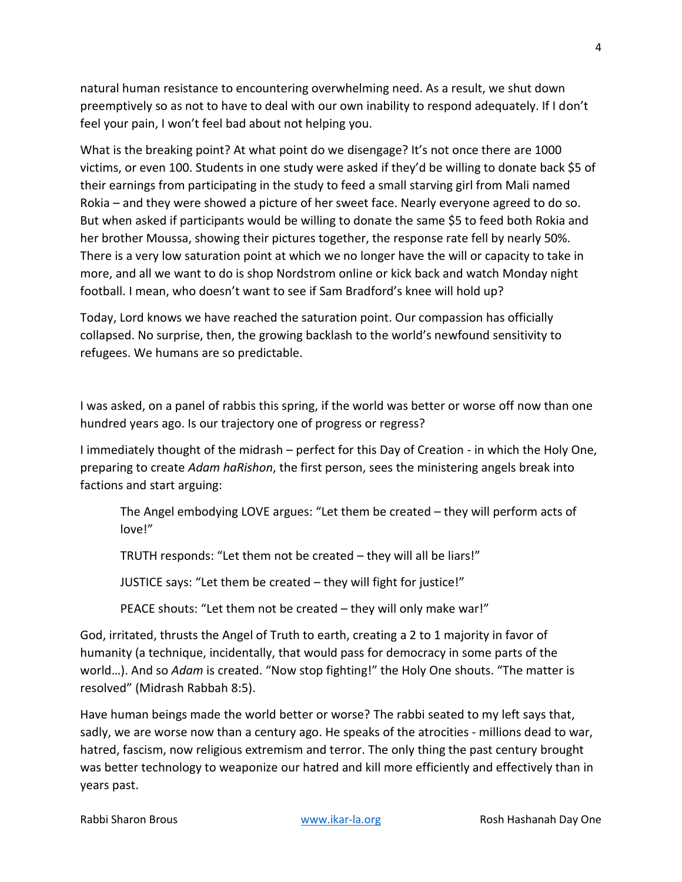natural human resistance to encountering overwhelming need. As a result, we shut down preemptively so as not to have to deal with our own inability to respond adequately. If I don't feel your pain, I won't feel bad about not helping you.

What is the breaking point? At what point do we disengage? It's not once there are 1000 victims, or even 100. Students in one study were asked if they'd be willing to donate back \$5 of their earnings from participating in the study to feed a small starving girl from Mali named Rokia – and they were showed a picture of her sweet face. Nearly everyone agreed to do so. But when asked if participants would be willing to donate the same \$5 to feed both Rokia and her brother Moussa, showing their pictures together, the response rate fell by nearly 50%. There is a very low saturation point at which we no longer have the will or capacity to take in more, and all we want to do is shop Nordstrom online or kick back and watch Monday night football. I mean, who doesn't want to see if Sam Bradford's knee will hold up?

Today, Lord knows we have reached the saturation point. Our compassion has officially collapsed. No surprise, then, the growing backlash to the world's newfound sensitivity to refugees. We humans are so predictable.

I was asked, on a panel of rabbis this spring, if the world was better or worse off now than one hundred years ago. Is our trajectory one of progress or regress?

I immediately thought of the midrash – perfect for this Day of Creation - in which the Holy One, preparing to create *Adam haRishon*, the first person, sees the ministering angels break into factions and start arguing:

The Angel embodying LOVE argues: "Let them be created – they will perform acts of love!"

TRUTH responds: "Let them not be created – they will all be liars!"

JUSTICE says: "Let them be created – they will fight for justice!"

PEACE shouts: "Let them not be created – they will only make war!"

God, irritated, thrusts the Angel of Truth to earth, creating a 2 to 1 majority in favor of humanity (a technique, incidentally, that would pass for democracy in some parts of the world…). And so *Adam* is created. "Now stop fighting!" the Holy One shouts. "The matter is resolved" (Midrash Rabbah 8:5).

Have human beings made the world better or worse? The rabbi seated to my left says that, sadly, we are worse now than a century ago. He speaks of the atrocities - millions dead to war, hatred, fascism, now religious extremism and terror. The only thing the past century brought was better technology to weaponize our hatred and kill more efficiently and effectively than in years past.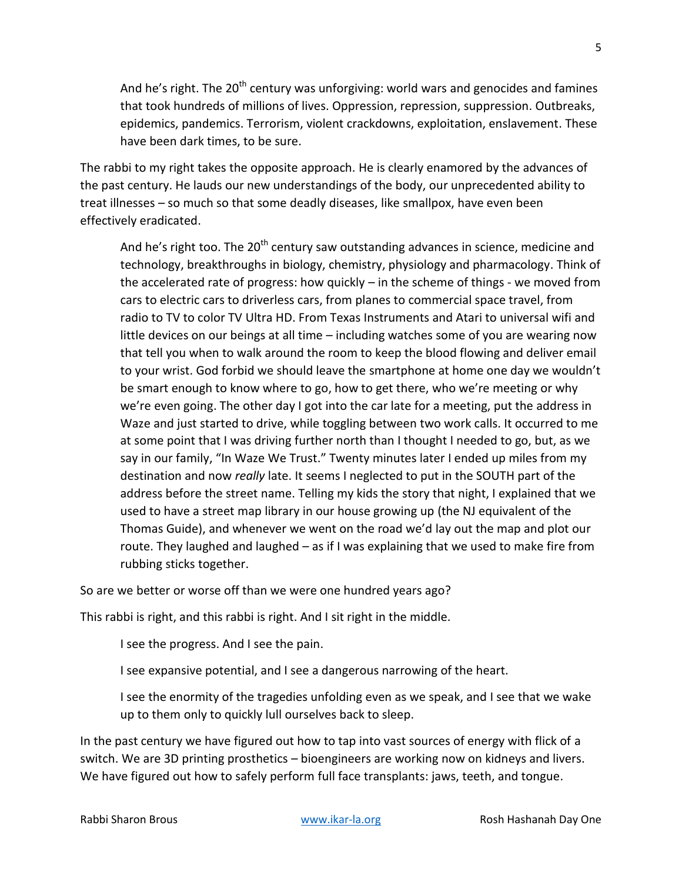And he's right. The 20<sup>th</sup> century was unforgiving: world wars and genocides and famines that took hundreds of millions of lives. Oppression, repression, suppression. Outbreaks, epidemics, pandemics. Terrorism, violent crackdowns, exploitation, enslavement. These have been dark times, to be sure.

The rabbi to my right takes the opposite approach. He is clearly enamored by the advances of the past century. He lauds our new understandings of the body, our unprecedented ability to treat illnesses – so much so that some deadly diseases, like smallpox, have even been effectively eradicated.

And he's right too. The 20<sup>th</sup> century saw outstanding advances in science, medicine and technology, breakthroughs in biology, chemistry, physiology and pharmacology. Think of the accelerated rate of progress: how quickly – in the scheme of things - we moved from cars to electric cars to driverless cars, from planes to commercial space travel, from radio to TV to color TV Ultra HD. From Texas Instruments and Atari to universal wifi and little devices on our beings at all time – including watches some of you are wearing now that tell you when to walk around the room to keep the blood flowing and deliver email to your wrist. God forbid we should leave the smartphone at home one day we wouldn't be smart enough to know where to go, how to get there, who we're meeting or why we're even going. The other day I got into the car late for a meeting, put the address in Waze and just started to drive, while toggling between two work calls. It occurred to me at some point that I was driving further north than I thought I needed to go, but, as we say in our family, "In Waze We Trust." Twenty minutes later I ended up miles from my destination and now *really* late. It seems I neglected to put in the SOUTH part of the address before the street name. Telling my kids the story that night, I explained that we used to have a street map library in our house growing up (the NJ equivalent of the Thomas Guide), and whenever we went on the road we'd lay out the map and plot our route. They laughed and laughed – as if I was explaining that we used to make fire from rubbing sticks together.

So are we better or worse off than we were one hundred years ago?

This rabbi is right, and this rabbi is right. And I sit right in the middle.

I see the progress. And I see the pain.

I see expansive potential, and I see a dangerous narrowing of the heart.

I see the enormity of the tragedies unfolding even as we speak, and I see that we wake up to them only to quickly lull ourselves back to sleep.

In the past century we have figured out how to tap into vast sources of energy with flick of a switch. We are 3D printing prosthetics – bioengineers are working now on kidneys and livers. We have figured out how to safely perform full face transplants: jaws, teeth, and tongue.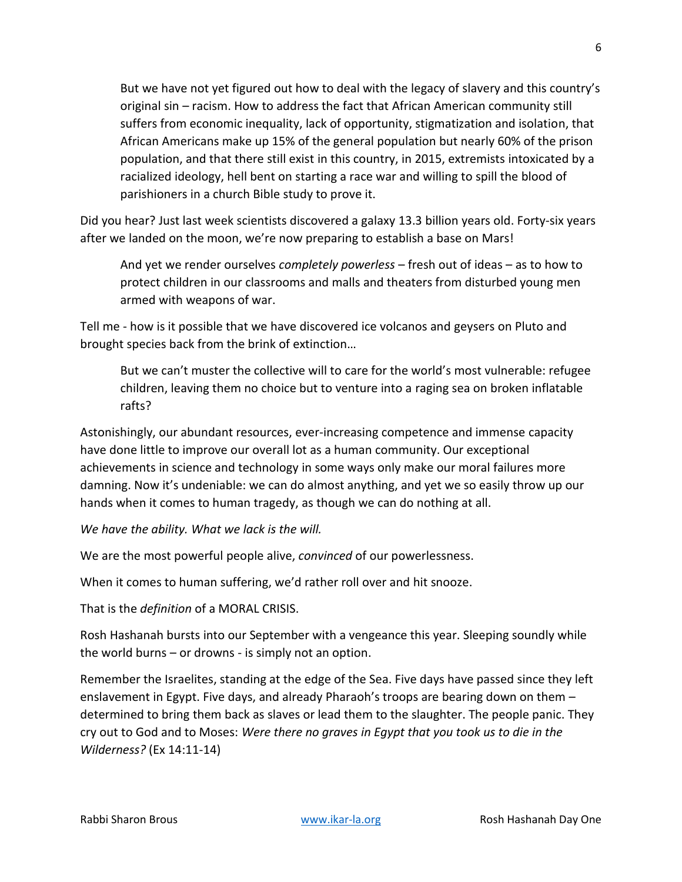But we have not yet figured out how to deal with the legacy of slavery and this country's original sin – racism. How to address the fact that African American community still suffers from economic inequality, lack of opportunity, stigmatization and isolation, that African Americans make up 15% of the general population but nearly 60% of the prison population, and that there still exist in this country, in 2015, extremists intoxicated by a racialized ideology, hell bent on starting a race war and willing to spill the blood of parishioners in a church Bible study to prove it.

Did you hear? Just last week scientists discovered a galaxy 13.3 billion years old. Forty-six years after we landed on the moon, we're now preparing to establish a base on Mars!

And yet we render ourselves *completely powerless* – fresh out of ideas – as to how to protect children in our classrooms and malls and theaters from disturbed young men armed with weapons of war.

Tell me - how is it possible that we have discovered ice volcanos and geysers on Pluto and brought species back from the brink of extinction…

But we can't muster the collective will to care for the world's most vulnerable: refugee children, leaving them no choice but to venture into a raging sea on broken inflatable rafts?

Astonishingly, our abundant resources, ever-increasing competence and immense capacity have done little to improve our overall lot as a human community. Our exceptional achievements in science and technology in some ways only make our moral failures more damning. Now it's undeniable: we can do almost anything, and yet we so easily throw up our hands when it comes to human tragedy, as though we can do nothing at all.

*We have the ability. What we lack is the will.*

We are the most powerful people alive, *convinced* of our powerlessness.

When it comes to human suffering, we'd rather roll over and hit snooze.

That is the *definition* of a MORAL CRISIS.

Rosh Hashanah bursts into our September with a vengeance this year. Sleeping soundly while the world burns – or drowns - is simply not an option.

Remember the Israelites, standing at the edge of the Sea. Five days have passed since they left enslavement in Egypt. Five days, and already Pharaoh's troops are bearing down on them – determined to bring them back as slaves or lead them to the slaughter. The people panic. They cry out to God and to Moses: *Were there no graves in Egypt that you took us to die in the Wilderness?* (Ex 14:11-14)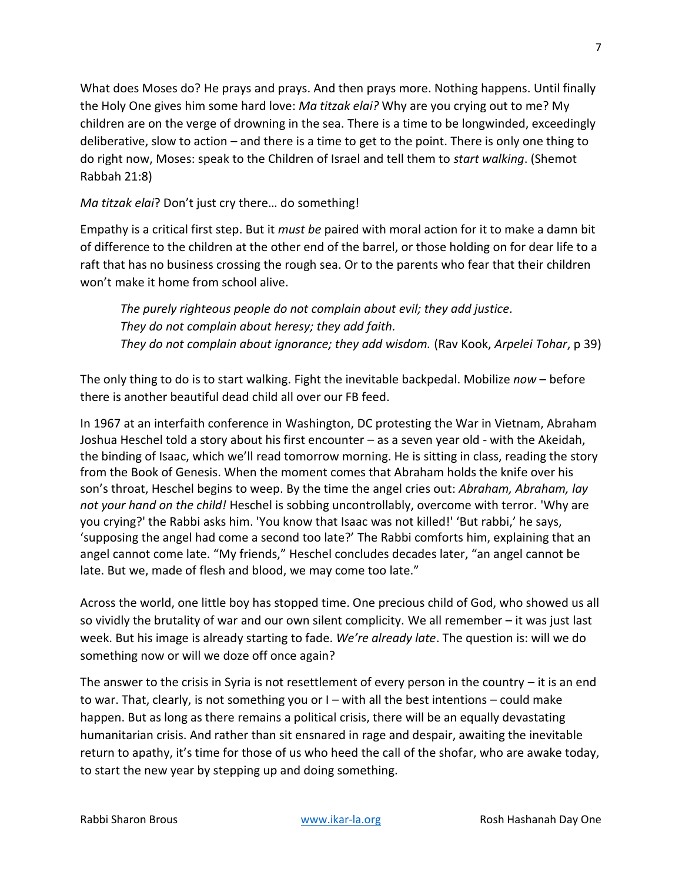What does Moses do? He prays and prays. And then prays more. Nothing happens. Until finally the Holy One gives him some hard love: *Ma titzak elai?* Why are you crying out to me? My children are on the verge of drowning in the sea. There is a time to be longwinded, exceedingly deliberative, slow to action – and there is a time to get to the point. There is only one thing to do right now, Moses: speak to the Children of Israel and tell them to *start walking*. (Shemot Rabbah 21:8)

*Ma titzak elai*? Don't just cry there… do something!

Empathy is a critical first step. But it *must be* paired with moral action for it to make a damn bit of difference to the children at the other end of the barrel, or those holding on for dear life to a raft that has no business crossing the rough sea. Or to the parents who fear that their children won't make it home from school alive.

*The purely righteous people do not complain about evil; they add justice. They do not complain about heresy; they add faith. They do not complain about ignorance; they add wisdom.* (Rav Kook, *Arpelei Tohar*, p 39)

The only thing to do is to start walking. Fight the inevitable backpedal. Mobilize *now* – before there is another beautiful dead child all over our FB feed.

In 1967 at an interfaith conference in Washington, DC protesting the War in Vietnam, Abraham Joshua Heschel told a story about his first encounter – as a seven year old - with the Akeidah, the binding of Isaac, which we'll read tomorrow morning. He is sitting in class, reading the story from the Book of Genesis. When the moment comes that Abraham holds the knife over his son's throat, Heschel begins to weep. By the time the angel cries out: *Abraham, Abraham, lay not your hand on the child!* Heschel is sobbing uncontrollably, overcome with terror. 'Why are you crying?' the Rabbi asks him. 'You know that Isaac was not killed!' 'But rabbi,' he says, 'supposing the angel had come a second too late?' The Rabbi comforts him, explaining that an angel cannot come late. "My friends," Heschel concludes decades later, "an angel cannot be late. But we, made of flesh and blood, we may come too late."

Across the world, one little boy has stopped time. One precious child of God, who showed us all so vividly the brutality of war and our own silent complicity. We all remember – it was just last week. But his image is already starting to fade. *We're already late*. The question is: will we do something now or will we doze off once again?

The answer to the crisis in Syria is not resettlement of every person in the country – it is an end to war. That, clearly, is not something you or I – with all the best intentions – could make happen. But as long as there remains a political crisis, there will be an equally devastating humanitarian crisis. And rather than sit ensnared in rage and despair, awaiting the inevitable return to apathy, it's time for those of us who heed the call of the shofar, who are awake today, to start the new year by stepping up and doing something.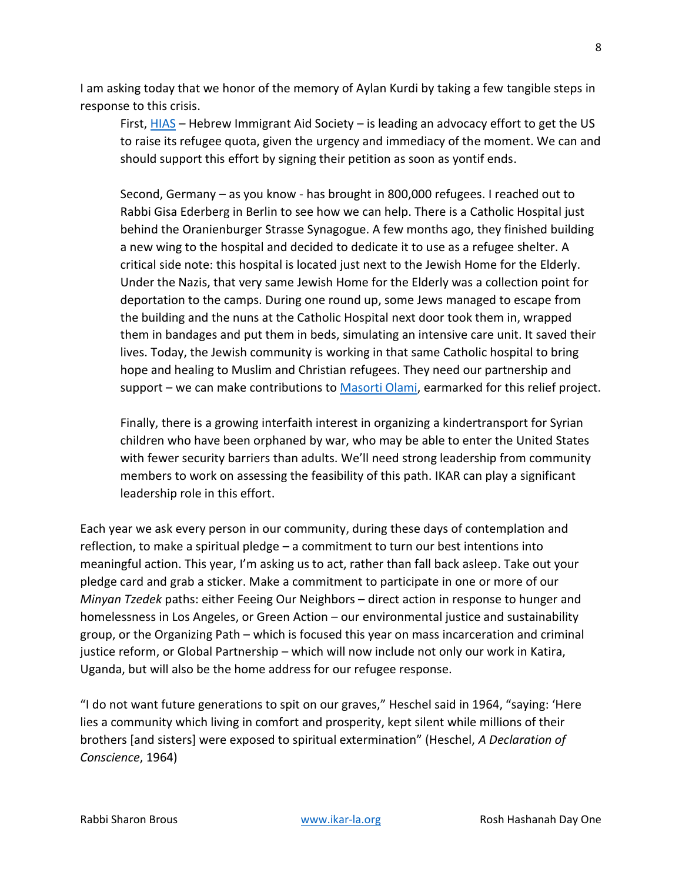I am asking today that we honor of the memory of Aylan Kurdi by taking a few tangible steps in response to this crisis.

First, [HIAS](http://www.hias.org/) – Hebrew Immigrant Aid Society – is leading an advocacy effort to get the US to raise its refugee quota, given the urgency and immediacy of the moment. We can and should support this effort by signing their petition as soon as yontif ends.

Second, Germany – as you know - has brought in 800,000 refugees. I reached out to Rabbi Gisa Ederberg in Berlin to see how we can help. There is a Catholic Hospital just behind the Oranienburger Strasse Synagogue. A few months ago, they finished building a new wing to the hospital and decided to dedicate it to use as a refugee shelter. A critical side note: this hospital is located just next to the Jewish Home for the Elderly. Under the Nazis, that very same Jewish Home for the Elderly was a collection point for deportation to the camps. During one round up, some Jews managed to escape from the building and the nuns at the Catholic Hospital next door took them in, wrapped them in bandages and put them in beds, simulating an intensive care unit. It saved their lives. Today, the Jewish community is working in that same Catholic hospital to bring hope and healing to Muslim and Christian refugees. They need our partnership and support – we can make contributions to [Masorti Olami,](https://masortiolami.org/one-time-donation/) earmarked for this relief project.

Finally, there is a growing interfaith interest in organizing a kindertransport for Syrian children who have been orphaned by war, who may be able to enter the United States with fewer security barriers than adults. We'll need strong leadership from community members to work on assessing the feasibility of this path. IKAR can play a significant leadership role in this effort.

Each year we ask every person in our community, during these days of contemplation and reflection, to make a spiritual pledge – a commitment to turn our best intentions into meaningful action. This year, I'm asking us to act, rather than fall back asleep. Take out your pledge card and grab a sticker. Make a commitment to participate in one or more of our *Minyan Tzedek* paths: either Feeing Our Neighbors – direct action in response to hunger and homelessness in Los Angeles, or Green Action – our environmental justice and sustainability group, or the Organizing Path – which is focused this year on mass incarceration and criminal justice reform, or Global Partnership – which will now include not only our work in Katira, Uganda, but will also be the home address for our refugee response.

"I do not want future generations to spit on our graves," Heschel said in 1964, "saying: 'Here lies a community which living in comfort and prosperity, kept silent while millions of their brothers [and sisters] were exposed to spiritual extermination" (Heschel, *A Declaration of Conscience*, 1964)